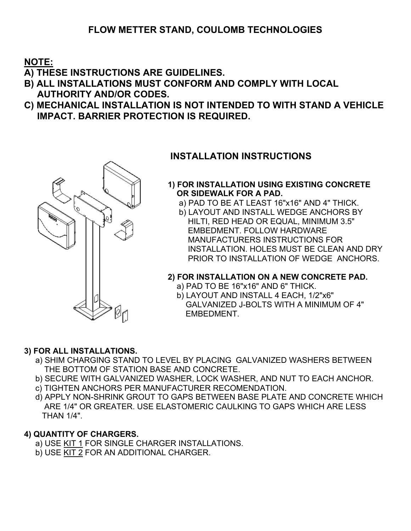# **FLOW METTER STAND, COULOMB TECHNOLOGIES**

**NOTE:**

**A) THESE INSTRUCTIONS ARE GUIDELINES.**

- **B) ALL INSTALLATIONS MUST CONFORM AND COMPLY WITH LOCAL AUTHORITY AND/OR CODES.**
- **C) MECHANICAL INSTALLATION IS NOT INTENDED TO WITH STAND A VEHICLE IMPACT. BARRIER PROTECTION IS REQUIRED.**



## **INSTALLATION INSTRUCTIONS**

#### **1) FOR INSTALLATION USING EXISTING CONCRETE OR SIDEWALK FOR A PAD.**

- a) PAD TO BE AT LEAST 16"x16" AND 4" THICK.
- b) LAYOUT AND INSTALL WEDGE ANCHORS BY HILTI, RED HEAD OR EQUAL, MINIMUM 3.5" EMBEDMENT. FOLLOW HARDWARE MANUFACTURERS INSTRUCTIONS FOR INSTALLATION. HOLES MUST BE CLEAN AND DRY PRIOR TO INSTALLATION OF WEDGE ANCHORS.

### **2) FOR INSTALLATION ON A NEW CONCRETE PAD.**

- a) PAD TO BE 16"x16" AND 6" THICK.
- b) LAYOUT AND INSTALL 4 EACH, 1/2"x6" GALVANIZED J-BOLTS WITH A MINIMUM OF 4" EMBEDMENT.

### **3) FOR ALL INSTALLATIONS.**

- a) SHIM CHARGING STAND TO LEVEL BY PLACING GALVANIZED WASHERS BETWEEN THE BOTTOM OF STATION BASE AND CONCRETE.
- b) SECURE WITH GALVANIZED WASHER, LOCK WASHER, AND NUT TO EACH ANCHOR.
- c) TIGHTEN ANCHORS PER MANUFACTURER RECOMENDATION.
- d) APPLY NON-SHRINK GROUT TO GAPS BETWEEN BASE PLATE AND CONCRETE WHICH ARE 1/4" OR GREATER. USE ELASTOMERIC CAULKING TO GAPS WHICH ARE LESS THAN 1/4".

### **4) QUANTITY OF CHARGERS.**

- a) USE KIT 1 FOR SINGLE CHARGER INSTALLATIONS.
- b) USE KIT 2 FOR AN ADDITIONAL CHARGER.